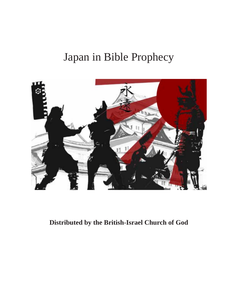# Japan in Bible Prophecy



**Distributed by the British-Israel Church of God**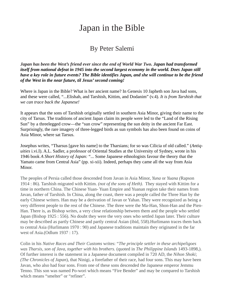## Japan in the Bible

### By Peter Salemi

*Japan has been the West's friend ever since the end of World War Two. Japan had transformed itself from national defeat in 1945 into the second largest economy in the world. Does Japan still have a key role in future events? The Bible identifies Japan, and she will continue to be the friend of the West in the near future, til Jesus' second coming!*

Where is Japan in the Bible? What is her ancient name? In Genesis 10 Japheth son Java had sons, and these were called, "...Elishah, and Tarshish, Kittim, and Dodanim" (v.4). *It is from Tarshish that we can trace back the Japanese!*

It appears that the sons of Tarshish originally settled in southern Asia Minor, giving their name to the city of Tarsus. The traditions of ancient Japan claim its people were led to the "Land of the Rising Sun" by a threelegged crow—the "sun crow" representing the sun deity in the ancient Far East. Surprisingly, the rare imagery of three-legged birds as sun symbols has also been found on coins of Asia Minor, where sat Tarsus.

Josephus writes, "Tharsus [gave his name] to the Tharsians; for so was Cilicia of old called." (*Antiquities* i.vi.I). A.L. Sadler, a professor of Oriental Studies at the University of Sydney, wrote in his 1946 book *A Short History of Japan:* "... Some Japanese ethnologists favour the theory that the Yamato came from Central Asia" (pp. xi-xii). Indeed, perhaps they came all the way from Asia Minor.

The peoples of Persia called those descended from Javan in Asia Minor, *Yuna* or *Yuana (*Rapson 1914 : 86). Tarshish migrated with Kittim. *(not of the sons of Heth)*. They stayed with Kittim for a time in northern China. The Chinese Yuan- Yuan Empire and Yuanan region take their names from Javan, father of Tarshish. In China, along the coast, there was a people called the Three Han by the early Chinese writers. Han may be a derivation of Javan or Yahan. They were recognized as being a very different people to the rest of the Chinese. The three were the Ma-Han, Shon-Han and the Pien-Han. There is, as Bishop writes, a very close relationship between them and the people who settled Japan (Bishop 1925 : 556). No doubt they were the very ones who settled Japan later. Their culture may be described as partly Chinese and partly central Asian (ibid, 558).Hurlimann traces them back to central Asia (Hurlimann 1970 : 90) and Japanese traditions maintain they originated in the far west of Asia.(Odlum 1937 : 17).

Colin in his *Native Races and Their Customs* writes: "*The principle settler in these archipeligoes was Tharsis, son of Java, together with his brothers.* (quoted in *The Philippine Islands* 1493-1898,). Of further interest is the statement in a Japanese document compiled in 720 AD, the *Nihon Shoki*; *(The Chronicles of Japan*), that Ninigi, a forefather of their race, had four sons. This may have been Javan, who also had four sons. From one of these sons descended the Japanese emperor Jemmu Tenno. This son was named Po-wori which means "Fire Bender" and may be compared to Tarshish which means "smelter" or "refiner".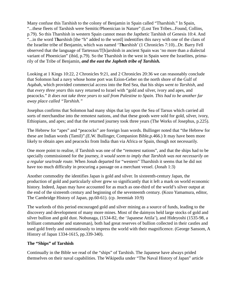Many confuse this Tarshish to the colony of Benjamin in Spain called "Tharshish." In Spain, "...these fleets of Tarshish were Semitic/Phoenician in Nature" (Lost Ten Tribes...Found, Collins, p.79). So this Tharshish in western Spain cannot mean the Japthetic Tarshish of Genesis 10:4. And "...in the word T**h**arshish [the "h" added to the word] indentifies this navy with one of the clans of the Israelite tribe of Benjamin, which was named 'T**h**arshish' (1 Chronicles 7:10)...Dr. Barry Fell observed that the language of Tartessus/T[h]arshish in ancient Spain was 'no more than a dialectal variant of Phoenician" (ibid, p.79). So the Tharshish in the west in Spain were the Israelites, primarily of the Tribe of Benjamin, *and the east the Japheth tribe of Tarshish.*

Looking at 1 Kings 10:22, 2 Chronicles 9:21, and 2 Chronicles 20:36 we can reasonably conclude that Solomon had a navy whose home port was Ezion-Geber on the north shore of the Gulf of Aqabah, which provided commercial access into the Red Sea, that his ships *went to Tarshish*, and that *every three years* this navy returned to Israel with "gold and silver, ivory and apes, and peacocks." *It does not take three years to sail from Palestine to Spain. This had to be another far away place called "Tarshish."*

Josephus confirms that Solomon had many ships that lay upon the Sea of Tarsus which carried all sorts of merchandise into the remotest nations, and that these goods were sold for gold, silver, ivory, Ethiopians, and apes; and that the returned journey took three years (The Works of Josephus, p.225).

The Hebrew for "apes" and "peacocks" are foreign loan words. Bullinger noted that "the Hebrew for these are Indian words (Tamil)".(E.W. Bullinger, Companion Bible,p.466.) It may have been more likely to obtain apes and peacocks from India than via Africa or Spain, though not necessarily.

One more point to realise, if Tarshish was one of the "remotest nations", and that the ships had to be specially commissioned for the journey, *it would seem to imply that Tarshish was not necessarily on a regular sea/trade route.* When Jonah departed for "western" Tharshish it seems that he did not have too much difficulty in procuring a passage on a merchant vessel. (Jonah 1:3)

Another commodity the identifies Japan is gold and silver. In sixteenth-century Japan, the production of gold and particularly silver grew so significantly that it left a mark on world economic history. Indeed, Japan may have accounted for as much as one-third of the world's silver output at the end of the sixteenth century and beginning of the seventeenth century. (Kozo Yamamura, editor, The Cambridge History of Japan, pp.60-61). (cp. Jeremiah 10:9)

The warlords of this period encouraged gold and silver mining as a source of funds, leading to the discovery and development of many more mines. Most of the daimyos held large stocks of gold and silver bullion and gold dust. Nobunaga, (1534-82, the 'Japanese Attila'), and Hideyoshi (1535-98, a brilliant commander and statesman), both had great reserves of bullion collected in their castles and used gold freely and ostentatiously to impress the world with their magnificence. (George Sansom, A History of Japan 1334-1615, pp.339-340).

#### **The "Ships" of Tarshish**

Continually in the Bible we read of the "ships" of Tarshish. The Japanese have always prided themselves on their naval capabilities. The Wikipedia under "The Naval History of Japan" article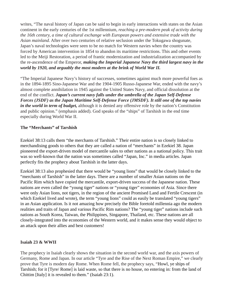writes, "The naval history of Japan can be said to begin in early interactions with states on the Asian continent in the early centuries of the 1st millennium, *reaching a pre-modern peak of activity during the 16th century, a time of cultural exchange with European powers and extensive trade with the Asian mainland.* After over two centuries of relative seclusion under the Tokugawa shogunate, Japan's naval technologies were seen to be no match for Western navies when the country was forced by American intervention in 1854 to abandon its maritime restrictions. This and other events led to the Meiji Restoration, a period of frantic modernization and industrialization accompanied by the re-ascendence of the Emperor, *making the Imperial Japanese Navy the third largest navy in the world by 1920, and arguably the most modern at the brink of World War II.*

"The Imperial Japanese Navy's history of successes, sometimes against much more powerful foes as in the 1894-1895 Sino-Japanese War and the 1904-1905 Russo-Japanese War, ended with the navy's almost complete annihilation in 1945 against the United States Navy, and official dissolution at the end of the conflict. *Japan's current navy falls under the umbrella of the Japan Self-Defense Forces (JSDF) as the Japan Maritime Self-Defense Force (JMSDF). It still one of the top navies in the world in term of budget,* although it is denied any offensive role by the nation's Constitution and public opinion." (emphasis added). God speaks of the "ships" of Tarshish in the end time especially during World War II.

#### **The "Merchants" of Tarshish**

Ezekiel 38:13 calls them "the merchants of Tarshish." Their entire nation is so closely linked to merchandising goods to others that they are called a nation of "merchants" in Ezekiel 38. Japan pioneered the export-driven model of mercantile sales to other nations as a national policy. This trait was so well-known that the nation was sometimes called "Japan, Inc." in media articles. Japan perfectly fits the prophecy about Tarshish in the latter days.

Ezekiel 38:13 also prophesied that there would be "young lions" that would be closely linked to the "merchants of Tarshish" in the latter days. There are a number of smaller Asian nations on the Pacific Rim which have copied the mercantile, export-driven success of the Japanese nation. These nations are even called the "young tiger" nations or "young tiger" economies of Asia. Since there were only Asian lions, not tigers, in the region of the ancient Promised Land and Fertile Crescent (in which Ezekiel lived and wrote), the term "young lions" could as easily be translated "young tigers" in an Asian application. Is it not amazing how precisely the Bible foretold millennia ago the modern realities and traits of Japan and various Pacific Rim nations? The "young tiger" nations include such nations as South Korea, Taiwan, the Philippines, Singapore, Thailand, etc. These nations are all closely-integrated into the economies of the Western world, and it makes sense they would object to an attack upon their allies and best customers!

#### **Isaiah 23 & WWII**

The prophecy in Isaiah clearly shows the situation in the second world war, and the axis powers of Germany, Rome and Japan. In our article "Tyre and the Rise of the Next Roman Empire," we clearly prove that Tyre is modern day Rome. When Rome fell, the prophecy says, "Howl, ye ships of Tarshish; for it [Tyre/ Rome] is laid waste, so that there is no house, no entering in: from the land of Chittim [Italy] it is revealed to them." (Isaiah 23:1).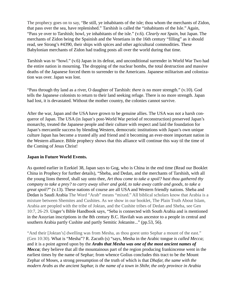The prophecy goes on to say, "Be still, ye inhabitants of the isle; thou whom the merchants of Zidon, that pass over the sea, have replenished." Tarshish is called the "inhabitants of the Isle." Again, "Pass ye over to Tarshish; howl, ye inhabitants of the isle." (v.6). *Clearly not Spain*, but Japan. The merchants of Zidon being the Spainish and the Venetians in the 16th century "filling" as it should read, see Strong's #4390, their ships with spices and other agricultural commodities. These Babylonian merchants of Zidon had trading posts all over the world during that time.

Tarshish was to "howl." (v.6) Japan in its defeat, and unconditional surrender in World War Two had the entire nation in mourning. The dropping of the nuclear bombs, the total destruction and massive deaths of the Japanese forced them to surrender to the Americans. Japanese militarism and colonization was over. Japan was lost.

"Pass through thy land as a river, O daughter of Tarshish: *there is* no more strength." (v.10). God tells the Japanese colonists to return to their land seeking refuge. There is no more strength. Japan had lost, it is devastated. Without the mother country, the colonies cannot survive.

After the war, Japan and the USA have grown to be genuine allies. The USA was not a harsh conqueror of Japan. The USA (in Japan's post-World War period of reconstruction) preserved Japan's monarchy, treated the Japanese people and their culture with respect and laid the foundation for Japan's mercantile success by blending Western, democratic institutions with Japan's own unique culture Japan has become a trusted ally and friend and it becoming an ever-more important nation in the Western alliance. Bible prophecy shows that this alliance will continue this way til the time of the Coming of Jesus Christ!

#### **Japan in Future World Events.**

As quoted earlier in Ezekiel 38, Japan says to Gog, who is China in the end time (Read our Booklet China in Prophecy for further details), "Sheba, and Dedan, and the merchants of Tarshish, with all the young lions thereof, shall say unto thee, *Art thou come to take a spoil? hast thou gathered thy company to take a prey? to carry away silver and gold, to take away cattle and goods, to take a great spoil?*" (v.13). These nations of course are all USA and Western friendly nations. Sheba and Dedan is Saudi Arabia The Word "Arab" means "mixed." All biblical scholars know that Arabia is a mixture between Shemites and Cushites. As we show in our booklet, The Plain Truth About Islam, Arabia are peopled with the tribe of Joktan, and the Cushite tribes of Dedan and Sheba, see Gen 10:7, 26-29. Unger's Bible Handbook says, "Seba is connected with South Arabia and is mentioned in the Assyrian inscriptions in the 8th century B.C. Havilah was ancestor to a people in central and southern Arabia partly Cushite and partly Semitic Joktanite..." (pp.53, 56).

"And their [Joktan's] dwelling was from Mesha, as thou goest unto Sephar a mount of the east." (Gen 10:30). What is "Mesha"? R. Zacuth (s) "says, Mesha in the Arabic tongue *is called Mecca*; and it is a point agreed upon by the *Arabs that Mesha was one of the most ancient names of Mecca*; they believe that all the mountainous part of the region producing frankincense went in the earliest times by the name of Sephar; from whence Golius concludes this tract to be the Mount Zephar of Moses, a strong presumption of the truth of which is that *Dhafar, the same with the modern Arabs as the ancient Saphar, is the name of a town in Shihr, the only province in Arabia*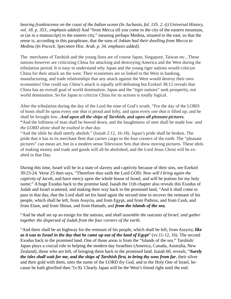*bearing frankincense on the coast of the Indian ocean (In Juchasin, fol. 135. 2. (t) Universal History, vol. 18. p. 353., emphasis added)* And "from Mecca till you come to the city of the eastern mountain, or (as in a manuscript) to the eastern city," meaning perhaps Medina, situated to the east; so that the sense is, according to this paraphrase, that the sons of *Joktan had their dwelling from Mecca to Medina* (*In Pocock. Specimen Hist. Arab. p. 34. emphasis added).*

The merchants of Tarshish and the young lions are of course Japan, Singapore, Taiwan etc...These nations however are criticizing China for attacking and destroying America and the West during the tribulation period. It is easy to understand why Japan and the young tiger nations would criticize China for their attack on the west. Their economies are so linked to the West in banking, manufacturing, and trade relationships that any attack against the West would destroy their own economies! One could say China's attack is equally self-defeating but Ezekiel 38:12 reveals that China has an overall goal of world domination. Japan and the "tiger nations" seek prosperity, not world domination. So for Japan to criticize China for its actions is totally logical.

After the tribulation during the day of the Lord the time of God's wrath, "For the day of the LORD of hosts *shall be* upon every *one that is* proud and lofty, and upon every *one that is* lifted up; and he shall be brought low...*And upon all the ships of Tarshish, and upon all pleasant pictures.* **"**And the loftiness of man shall be bowed down, and the haughtiness of men shall be made low: *and the LORD alone shall be exalted in that day.*

"And the idols he shall utterly abolish." (Isaiah 2:12, 16-18). Japan's pride shall be broken. The pride that it has in its merchant fleet that carries cargo to the four corners of the earth. The "pleasant pictures" can mean art, but in a modern sense Television Sets that show moving pictures. These idols of making money and trade and goods will all be abolished, and the Lord Jesus Christ will be exalted in that Day.

During this time, Israel will be in a state of slavery and captivity because of their sins, see Ezekiel 39:23-24. Verse 25 then says, "Therefore thus saith the Lord GOD; *Now will I bring again the captivity of Jacob*, and have mercy upon the whole house of Israel, and will be jealous for my holy name;" A huge Exodus back to the promise land. Isaiah the 11th chapter also reveals this Exodus of Judah and Israel scattered, and making their way back to the promised land, "And it shall come to pass in that day, *that* the Lord shall set his hand again the second time to recover the remnant of his people, which shall be left, from Assyria, and from Egypt, and from Pathros, and from Cush, and from Elam, and from Shinar, and from Hamath, and *from the islands of the sea.*

"And he shall set up an ensign for the nations, and *shall assemble the outcasts of Israel, and gather together the dispersed of Judah from the four corners of the earth.*

"And there shall be an highway for the remnant of his people, which shall be left, from Assyria; *like as it was to Israel in the day that he came up out of the land of Egypt*" (vv.11-12, 16). The second Exodus back to the promised land. One of those areas is from the "Islands of the sea." Tarshish/ Japan plays a crucial role in helping the modern day Israelites (America, Canada, Australia, New Zealand), those who are left, of bringing them back to the promised land. Isaiah 60, reveals, "*Surely the isles shall wait for me, and the ships of Tarshish first, to bring thy sons from far*, their silver and their gold with them, unto the name of the LORD thy God, and to the Holy One of Israel, because he hath glorified thee."(v.9). Clearly Japan will be the West's friend right until the end.